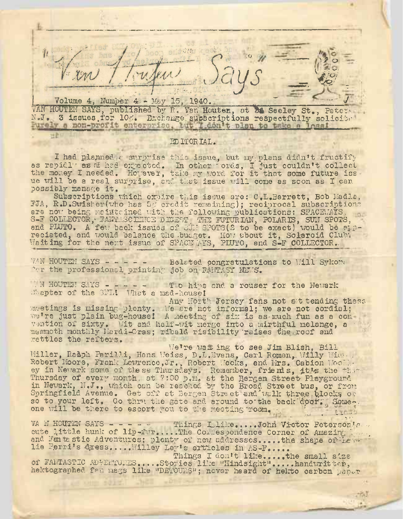$\zeta$ ?? o 1 Volume 4, Numper 4: - May 15, 1940.  $\overline{y}s = \overline{x}$ 

VAN HOUTEN SAYS, published by R. Van Houten, at 26 Seeley St., Pater-N.J. 3 issues.for 10c. Exchange subscriptions respectfully solicit.

EDITORIAL.

世音日

I had planned a surprise this issue, but my plans didn't fructify as rapidl as fl had-expected. In other 'ords, I just couldn't collect<br>as rapidl as fl had-expected. In other 'ords, I just couldn't collect as replair as a had expected. In other ords, i just couldn't collect<br>the money I needed. However, take my word for it that some future iss. ue will be a real surprise, and that issue will come as soon as I can possibly manage it.

Subscriptions which expire this issue are: C.L.Barrett, Bob Madia, ETA, R.D.Swisher(who has 5c' credit remaining); reciprocal subscriptions are now being maintained with the following publications: SPACEWAYS, S-F COLLECTOR, FANTISCLEICE DIGEST, THE FUTURIAN, POLARIS, SUN SPOTS, and PLUTO. A few back issues of SUN SPOTS(2 to be exact) would be appand PLOTO. A Tew back issues or SJ1: SPOTS(2 to be exact) would be at<br>reciated, and would balance the budget. How about it, Solaroid Club; Waiting for the next issue of SPACE AYS, PLUTO, and S-F COLLECTOR.

TAN HOUTEN SAYS - - - - - Belated congratulations to Will Sykone YAN HOUTEN SAYS - - - - Belated congratulations to Will Sykome (er the professional printing job on-FANTASY METS.

N HOUTEN SAYS - - - - - Two hips and a rouser for the Newark Chapter of the SFL! What a mad-house!

Any North- Jersey fans not at tending these meetings is missing plenty. We are not informal; we are not cordial; we're just plain bug-house! A meeting of six is as much fun as a con vention of sixty. Wit and half-wit merge into a mirthful melange, a mammoth monthly Hardi-Gras; ribald risibility raises the roof and rattles the rafters.

We're wait ing to see Jim Blish, Bill Miller, Raaph Parilli, Hans Weiss, D.L.Evans, Carl Roman, Willy Wien... Willer, Ramph Parilli, Hans Weiss, D.L.Mvans, Carl Roman, Willy Wide...<br>Robert Moore, Frank Lawrence, Jr., Robert Weeks, and Mrs. Cabion Woolk.<br>ey in Newark some of these Thursdays. Remember, friends, jt's the third Thursday of every month; at 7:00 p.m. at the Bergen Street- Playground in Newark, N.J., which can be reached, by the Broad Street bus, or from Springfield Avenue. Get off at Bergen Street and walk three blocks or so to your left, Go thru the gate and around to the back dpor; Some-. one will be there to escort you to the meeting room. .  $\cdots$  .  $\cdots$  . The  $\mathbb{R}^n$ 

one vill be there to escort you to the meeting room.<br>VA N HOUTEN SAYS - - - - ... Things Ilike....John Victor Peterson's, ...<br>oute little bunk of lin-fur. The Compensational Corner of America. cute little hunk of lip-fur......... The Correspondence Corner of Ama zing: <sup>1</sup> r.-f., cute little hunk of lip-fur....The Corfespondence Corner of Amazing Land Fantastic Adventures; plenty of new addresses....the shape of Leilie Perri's dress.....Willey Ley's articles in AS-F....

Things I don't like......... the small size of FANTASTIC ADVENTURES.... .Stories' like "Hindsight".... .handwritten, of infinition as antioxist ... Sooties the "hindsight" .... Handwrit the